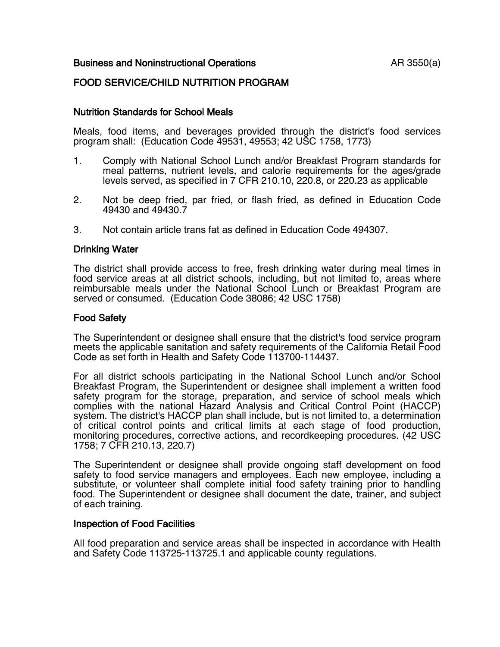### Business and Noninstructional Operations **AR 3550(a)**

# FOOD SERVICE/CHILD NUTRITION PROGRAM

### Nutrition Standards for School Meals

Meals, food items, and beverages provided through the district's food services program shall: (Education Code 49531, 49553; 42 USC 1758, 1773)

- 1. Comply with National School Lunch and/or Breakfast Program standards for meal patterns, nutrient levels, and calorie requirements for the ages/grade levels served, as specified in 7 CFR 210.10, 220.8, or 220.23 as applicable
- 2. Not be deep fried, par fried, or flash fried, as defined in Education Code 49430 and 49430.7
- 3. Not contain article trans fat as defined in Education Code 494307.

#### Drinking Water

The district shall provide access to free, fresh drinking water during meal times in food service areas at all district schools, including, but not limited to, areas where reimbursable meals under the National School Lunch or Breakfast Program are served or consumed. (Education Code 38086; 42 USC 1758)

#### Food Safety

The Superintendent or designee shall ensure that the district's food service program meets the applicable sanitation and safety requirements of the California Retail Food Code as set forth in Health and Safety Code 113700-114437.

For all district schools participating in the National School Lunch and/or School Breakfast Program, the Superintendent or designee shall implement a written food safety program for the storage, preparation, and service of school meals which complies with the national Hazard Analysis and Critical Control Point (HACCP) system. The district's HACCP plan shall include, but is not limited to, a determination of critical control points and critical limits at each stage of food production, monitoring procedures, corrective actions, and recordkeeping procedures. (42 USC 1758; 7 CFR 210.13, 220.7)

The Superintendent or designee shall provide ongoing staff development on food safety to food service managers and employees. Each new employee, including a substitute, or volunteer shall complete initial food safety training prior to handling food. The Superintendent or designee shall document the date, trainer, and subject of each training.

#### Inspection of Food Facilities

All food preparation and service areas shall be inspected in accordance with Health and Safety Code 113725-113725.1 and applicable county regulations.